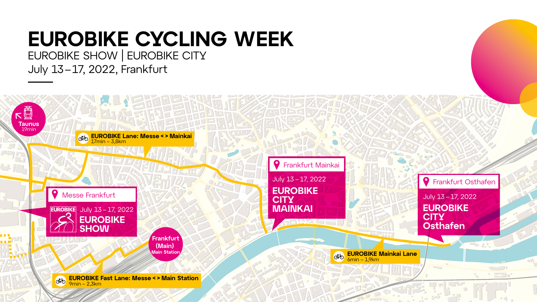**EUROBIKE Fast Lane: Messe < > Main Station** CHO 9min – 2,3km



**EUROBIKE Lane: Messe < > Mainkai**

17min – 3,8km

**Frankfurt (Main) Main Station**

**Taunus**

下口

FLIT

19min



CHO





# **EUROBIKE CYCLING WEEK** EUROBIKE SHOW | EUROBIKE CITY July 13–17, 2022, Frankfurt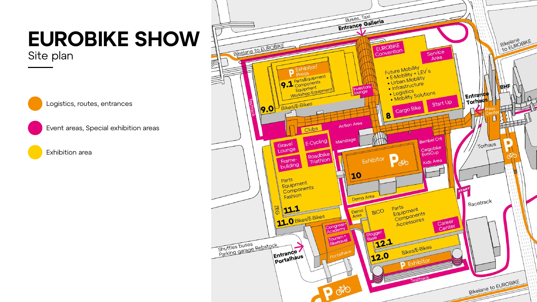



# **EUROBIKE SHOW** Site plan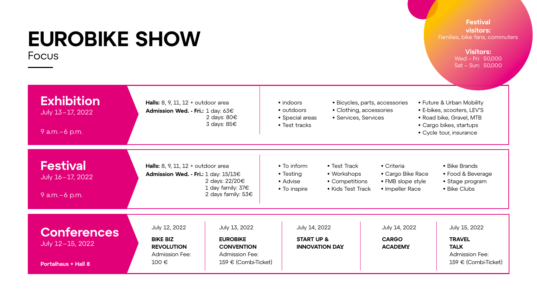# **EUROBIKE SHOW** Focus

- indoors
- outdoors
- Special areas
- Test tracks
- Bicycles, parts, accessories
- Clothing, accessories
- Services, Services

| <b>Exhibition</b><br>July 13-17, 2022<br>9 $a.m.-6$ p.m.             | <b>Halls:</b> 8, 9, 11, 12 + outdoor area<br>Admission Wed. - Fri.: 1 day: 63€                          | 2 days: $80 \in$<br>3 days: 85€                                                                                                                                     |  |
|----------------------------------------------------------------------|---------------------------------------------------------------------------------------------------------|---------------------------------------------------------------------------------------------------------------------------------------------------------------------|--|
| <b>Festival</b><br>July 16-17, 2022<br>9 $a.m.-6$ p.m.               |                                                                                                         | <b>Halls:</b> 8, 9, 11, 12 + outdoor area<br>Admission Wed. - Fri.: $1$ day: $15/13 \in$<br>2 days: $22/20 \epsilon$<br>1 day family: $376$<br>2 days family: $53€$ |  |
| <b>Conferences</b><br>July 12-15, 2022<br><b>Portalhaus + Hall 8</b> | <b>July 12, 2022</b><br><b>BIKE BIZ</b><br><b>REVOLUTION</b><br><b>Admission Fee:</b><br>100 $\epsilon$ | <b>July 13, 2022</b><br><b>EUROBIKE</b><br><b>CONVENTIOI</b><br><b>Admission Fe</b><br>$159 \in (Comb)$                                                             |  |

- Future & Urban Mobility
- E-bikes, scooters, LEV'S
- Road bike, Gravel, MTB
- Cargo bikes, startups
- Cycle tour, insurance
- To inform • Testing • Advise • To inspire • Criteria • Cargo Bike Race • FMB slope style • Impeller Race • Bike Brands • Food & Beverage • Stage program • Bike Clubs • Test Track • Workshops • Competitions • Kids Test Track  $\mathbf{N}$ ee: oi-Ticket) July 14, 2022 **START UP & INNOVATION DAY** July 14, 2022 **CARGO ACADEMY** July 15, 2022 **TRAVEL TALK** Admission Fee: 159 € (Combi-Ticket)



## **Festival visitors:**

Families, bike fans, commuters

### **Visitors:**

Wed – Fri: 50,000 Sat – Sun: 50,000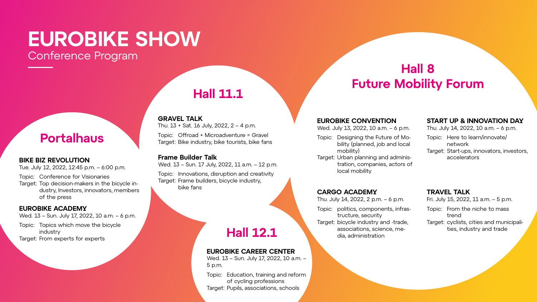## **Portalhaus**



## **Hall 8 Future Mobility Forum**



## **BIKE BIZ REVOLUTION**

Tue. July 12, 2022, 12:45 p.m. – 6:00 p.m.

Topic: Conference for Visionaries

Target: Top decision-makers in the bicycle industry, Investors, innovators, members of the press

## **EUROBIKE CONVENTION**

Wed. July 13, 2022, 10 a.m. – 6 p.m.

- Topic: Designing the Future of Mobility (planned, job and local mobility)
- Target: Urban planning and administration, companies, actors of local mobility

## **GRAVEL TALK**

Thu. 13 + Sat. 16 July, 2022, 2 – 4 p.m.

Topic: Offroad + Microadventure = Gravel Target: Bike industry, bike tourists, bike fans

## **START UP & INNOVATION DAY**

Thu. July 14, 2022, 10 a.m. – 6 p.m.

- Topic: Here to learn/innovate/ network
- Target: Start-ups, innovators, investors, accelerators

### **EUROBIKE ACADEMY**

Wed. 13 – Sun. July 17, 2022, 10 a.m. – 6 p.m.

- Topic: Topics which move the bicycle industry
- Target: From experts for experts

**CARGO ACADEMY**

Thu. July 14, 2022, 2 p.m. – 6 p.m.

Topic: politics, components, infras-

tructure, security

Target: bicycle industry and -trade,

associations, science, me-

dia, administration

### **Frame Builder Talk**

Wed. 13 – Sun. 17 July, 2022, 11 a.m. – 12 p.m.

Topic: Innovations, disruption and creativity Target: Frame builders, bicycle industry, bike fans

## **TRAVEL TALK**

Fri. July 15, 2022, 11 a.m. – 5 p.m.

- Topic: From the niche to mass trend
- Target: cyclists, cities and municipalities, industry and trade



## **EUROBIKE CAREER CENTER**

Wed. 13 – Sun. July 17, 2022, 10 a.m. – 5 p.m.

Topic: Education, training and reform of cycling professions Target: Pupils, associations, schools

# **EUROBIKE SHOW** Conference Program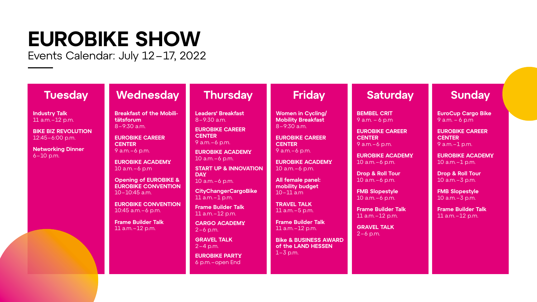# **EUROBIKE SHOW** Events Calendar: July 12–17, 2022

**Industry Talk** 11 a.m.–12 p.m.

**BIKE BIZ REVOLUTION** 12:45–6:00 p.m.

**Networking Dinner** 6–10 p.m.

## **Tuesday Wednesday** Thursday Friday Saturday Sunday

**Breakfast of the Mobilitätsforum**  8–9:30 a.m.

**EUROBIKE CAREER CENTER**  9 a.m.–6 p.m.

**EUROBIKE ACADEMY** 10 a.m.–6 p.m

**Opening of EUROBIKE & EUROBIKE CONVENTION**  10–10:45 a.m.

**EUROBIKE CONVENTION**  10:45 a.m.–6 p.m.

**Frame Builder Talk**  11 a.m.–12 p.m.

**Leaders' Breakfast** 8–9:30 a.m.

**EUROBIKE CAREER CENTER**  9 a.m.–6 p.m.

**EUROBIKE ACADEMY** 10 a.m.–6 p.m.

**START UP & INNOVATION DAY**  10 a.m.–6 p.m.

**CityChangerCargoBike**  11 a.m.–1 p.m.

**Frame Builder Talk** 11 a.m.–12 p.m.

**CARGO ACADEMY**  2–6 p.m.

**GRAVEL TALK** 2–4 p.m.

**EUROBIKE PARTY**  6 p.m.–open End

**Women in Cycling/ Mobility Breakfast**  8–9:30 a.m.

**EUROBIKE CAREER CENTER**  9 a.m.–6 p.m.

**EUROBIKE ACADEMY** 10 a.m.–6 p.m.

**All female panel: mobility budget**  10–11 a.m

**TRAVEL TALK**  11 a.m.–5 p.m.

**Frame Builder Talk**  11 a.m.–12 p.m.

**Bike & BUSINESS AWARD of the LAND HESSEN**  1–3 p.m.

**BEMBEL CRIT** 9 a.m. – 6 p.m

**EUROBIKE CAREER CENTER**  9 a.m.–6 p.m.

**EUROBIKE ACADEMY** 10 a.m.–6 p.m.

**Drop & Roll Tour** 10 a.m.–6 p.m.

**FMB Slopestyle** 10 a.m.–6 p.m.

**Frame Builder Talk** 11 a.m.–12 p.m.

**GRAVEL TALK**  2–6 p.m.

**EuroCup Cargo Bike**  9 a.m. – 6 p.m

**EUROBIKE CAREER CENTER** 9 a.m.–1 p.m.

**EUROBIKE ACADEMY** 10 a.m.–1 p.m.

**Drop & Roll Tour** 10 a.m.–3 p.m.

**FMB Slopestyle** 10 a.m.–3 p.m.

**Frame Builder Talk** 11 a.m.–12 p.m.

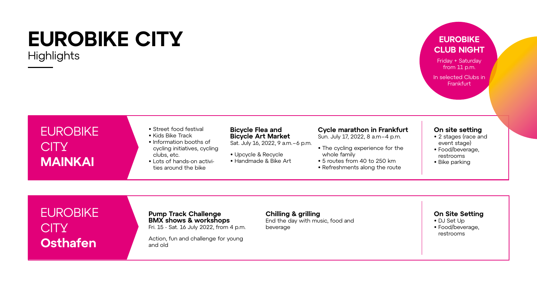# EUROBIKE CITY **MAINKAI**

# EUROBIKE **CITY Osthafen**

## **Bicycle Flea and Bicycle Art Market**

Sat. July 16, 2022, 9 a.m.–6 p.m.

• Upcycle & Recycle • Handmade & Bike Art

### **Cycle marathon in Frankfurt**

Sun. July 17, 2022, 8 a.m–4 p.m.

- The cycling experience for the whole family
- 5 routes from 40 to 250 km
- Refreshments along the route

### **On site setting**

- 2 stages (race and event stage)
- Food/beverage, restrooms
- Bike parking

## **On Site Setting**

In selected Clubs in **Frankfurt** 

# **EUROBIKE CITY Highlights**

- DJ Set Up
- Food/beverage, restrooms



- Street food festival
- Kids Bike Track
- Information booths of cycling initiatives, cycling clubs, etc.
- Lots of hands-on activities around the bike

- 
- 

## **Pump Track Challenge BMX shows & workshops**

Fri. 15 - Sat. 16 July 2022, from 4 p.m.

Action, fun and challenge for young and old

## **Chilling & grilling**

End the day with music, food and beverage

## **EUROBIKE CLUB NIGHT**

Friday + Saturday from 11 p.m.